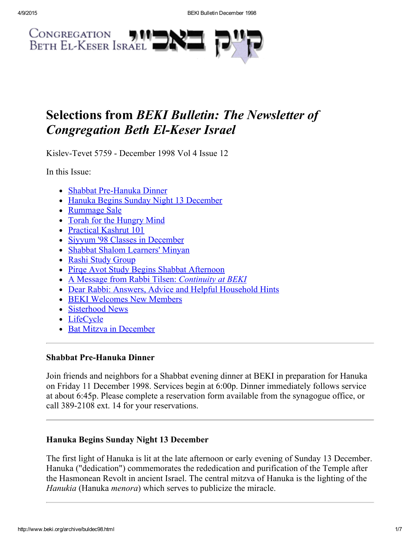

# Selections from BEKI Bulletin: The Newsletter of **Congregation Beth El-Keser Israel**

Kislev-Tevet 5759 - December 1998 Vol 4 Issue 12

In this Issue:

- Shabbat Pre-Hanuka Dinner
- Hanuka Begins Sunday Night 13 [December](#page-0-1)
- [Rummage](#page-1-1) Sale
- Torah for the [Hungry](#page-1-4) Mind
- [Practical](#page-1-0) Kashrut 101
- Siyyum '98 Classes in [December](#page-1-5)
- Shabbat Shalom [Learners'](#page-1-6) Minyan
- Rashi Study [Group](#page-1-2)
- Pirge Avot Study Begins Shabbat [Afternoon](#page-1-3)
- A Message from Rabbi Tilsen: [Continuity](#page-2-0) at BEKI
- Dear Rabbi: Answers, Advice and Helpful [Household](#page-3-0) Hints
- BEKI [Welcomes](#page-4-0) New Members
- [Sisterhood](#page-5-2) News
- [LifeCycle](#page-5-1)
- Bat Mitzva in [December](#page-5-0)

### <span id="page-0-0"></span>Shabbat Pre-Hanuka Dinner

Join friends and neighbors for a Shabbat evening dinner at BEKI in preparation for Hanuka on Friday 11 December 1998. Services begin at 6:00p. Dinner immediately follows service at about 6:45p. Please complete a reservation form available from the synagogue office, or call 389-2108 ext. 14 for your reservations.

## <span id="page-0-1"></span>Hanuka Begins Sunday Night 13 December

The first light of Hanuka is lit at the late afternoon or early evening of Sunday 13 December. Hanuka ("dedication") commemorates the rededication and purification of the Temple after the Hasmonean Revolt in ancient Israel. The central mitzva of Hanuka is the lighting of the Hanukia (Hanuka *menora*) which serves to publicize the miracle.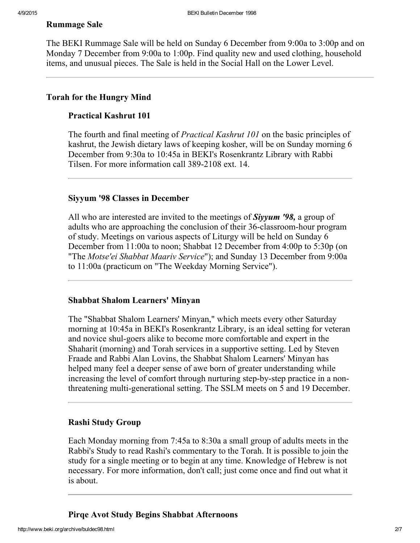#### <span id="page-1-1"></span>Rummage Sale

The BEKI Rummage Sale will be held on Sunday 6 December from 9:00a to 3:00p and on Monday 7 December from 9:00a to 1:00p. Find quality new and used clothing, household items, and unusual pieces. The Sale is held in the Social Hall on the Lower Level.

#### <span id="page-1-4"></span>Torah for the Hungry Mind

#### <span id="page-1-0"></span>Practical Kashrut 101

The fourth and final meeting of Practical Kashrut 101 on the basic principles of kashrut, the Jewish dietary laws of keeping kosher, will be on Sunday morning 6 December from 9:30a to 10:45a in BEKI's Rosenkrantz Library with Rabbi Tilsen. For more information call 389-2108 ext. 14.

#### <span id="page-1-5"></span>Siyyum '98 Classes in December

All who are interested are invited to the meetings of **Siyyum** '98, a group of adults who are approaching the conclusion of their 36-classroom-hour program of study. Meetings on various aspects of Liturgy will be held on Sunday 6 December from 11:00a to noon; Shabbat 12 December from 4:00p to 5:30p (on "The Motse'ei Shabbat Maariv Service"); and Sunday 13 December from 9:00a to 11:00a (practicum on "The Weekday Morning Service").

#### <span id="page-1-6"></span>Shabbat Shalom Learners' Minyan

The "Shabbat Shalom Learners' Minyan," which meets every other Saturday morning at 10:45a in BEKI's Rosenkrantz Library, is an ideal setting for veteran and novice shul-goers alike to become more comfortable and expert in the Shaharit (morning) and Torah services in a supportive setting. Led by Steven Fraade and Rabbi Alan Lovins, the Shabbat Shalom Learners' Minyan has helped many feel a deeper sense of awe born of greater understanding while increasing the level of comfort through nurturing step-by-step practice in a nonthreatening multi-generational setting. The SSLM meets on 5 and 19 December.

#### <span id="page-1-2"></span>Rashi Study Group

Each Monday morning from 7:45a to 8:30a a small group of adults meets in the Rabbi's Study to read Rashi's commentary to the Torah. It is possible to join the study for a single meeting or to begin at any time. Knowledge of Hebrew is not necessary. For more information, don't call; just come once and find out what it is about.

<span id="page-1-3"></span>Pirqe Avot Study Begins Shabbat Afternoons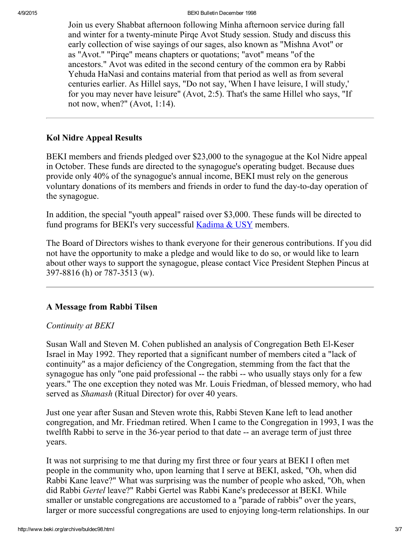4/9/2015 BEKI Bulletin December 1998

Join us every Shabbat afternoon following Minha afternoon service during fall and winter for a twenty-minute Pirqe Avot Study session. Study and discuss this early collection of wise sayings of our sages, also known as "Mishna Avot" or as "Avot." "Pirqe" means chapters or quotations; "avot" means "of the ancestors." Avot was edited in the second century of the common era by Rabbi Yehuda HaNasi and contains material from that period as well as from several centuries earlier. As Hillel says, "Do not say, 'When I have leisure, I will study,' for you may never have leisure" (Avot, 2:5). That's the same Hillel who says, "If not now, when?" (Avot, 1:14).

### Kol Nidre Appeal Results

BEKI members and friends pledged over \$23,000 to the synagogue at the Kol Nidre appeal in October. These funds are directed to the synagogue's operating budget. Because dues provide only 40% of the synagogue's annual income, BEKI must rely on the generous voluntary donations of its members and friends in order to fund the day-to-day operation of the synagogue.

In addition, the special "youth appeal" raised over \$3,000. These funds will be directed to fund programs for BEKI's very successful **[Kadima](http://www.beki.org/archive/youth.html#kadmiausy) & USY** members.

The Board of Directors wishes to thank everyone for their generous contributions. If you did not have the opportunity to make a pledge and would like to do so, or would like to learn about other ways to support the synagogue, please contact Vice President Stephen Pincus at 397-8816 (h) or 787-3513 (w).

## <span id="page-2-0"></span>A Message from Rabbi Tilsen

### Continuity at BEKI

Susan Wall and Steven M. Cohen published an analysis of Congregation Beth El-Keser Israel in May 1992. They reported that a significant number of members cited a "lack of continuity" as a major deficiency of the Congregation, stemming from the fact that the synagogue has only "one paid professional -- the rabbi -- who usually stays only for a few years." The one exception they noted was Mr. Louis Friedman, of blessed memory, who had served as *Shamash* (Ritual Director) for over 40 years.

Just one year after Susan and Steven wrote this, Rabbi Steven Kane left to lead another congregation, and Mr. Friedman retired. When I came to the Congregation in 1993, I was the twelfth Rabbi to serve in the 36-year period to that date -- an average term of just three years.

It was not surprising to me that during my first three or four years at BEKI I often met people in the community who, upon learning that I serve at BEKI, asked, "Oh, when did Rabbi Kane leave?" What was surprising was the number of people who asked, "Oh, when did Rabbi Gertel leave?" Rabbi Gertel was Rabbi Kane's predecessor at BEKI. While smaller or unstable congregations are accustomed to a "parade of rabbis" over the years, larger or more successful congregations are used to enjoying long-term relationships. In our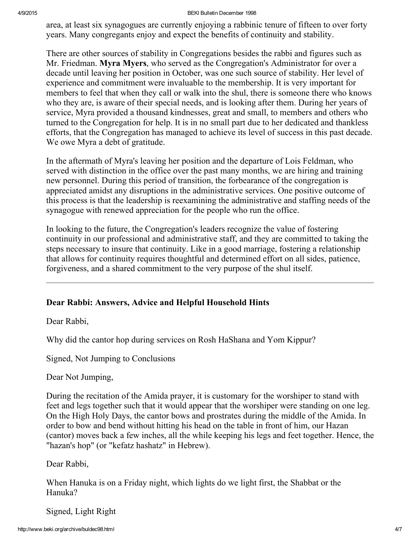#### 4/9/2015 BEKI Bulletin December 1998

area, at least six synagogues are currently enjoying a rabbinic tenure of fifteen to over forty years. Many congregants enjoy and expect the benefits of continuity and stability.

There are other sources of stability in Congregations besides the rabbi and figures such as Mr. Friedman. Myra Myers, who served as the Congregation's Administrator for over a decade until leaving her position in October, was one such source of stability. Her level of experience and commitment were invaluable to the membership. It is very important for members to feel that when they call or walk into the shul, there is someone there who knows who they are, is aware of their special needs, and is looking after them. During her years of service, Myra provided a thousand kindnesses, great and small, to members and others who turned to the Congregation for help. It is in no small part due to her dedicated and thankless efforts, that the Congregation has managed to achieve its level of success in this past decade. We owe Myra a debt of gratitude.

In the aftermath of Myra's leaving her position and the departure of Lois Feldman, who served with distinction in the office over the past many months, we are hiring and training new personnel. During this period of transition, the forbearance of the congregation is appreciated amidst any disruptions in the administrative services. One positive outcome of this process is that the leadership is reexamining the administrative and staffing needs of the synagogue with renewed appreciation for the people who run the office.

In looking to the future, the Congregation's leaders recognize the value of fostering continuity in our professional and administrative staff, and they are committed to taking the steps necessary to insure that continuity. Like in a good marriage, fostering a relationship that allows for continuity requires thoughtful and determined effort on all sides, patience, forgiveness, and a shared commitment to the very purpose of the shul itself.

### <span id="page-3-0"></span>Dear Rabbi: Answers, Advice and Helpful Household Hints

Dear Rabbi,

Why did the cantor hop during services on Rosh HaShana and Yom Kippur?

Signed, Not Jumping to Conclusions

Dear Not Jumping,

During the recitation of the Amida prayer, it is customary for the worshiper to stand with feet and legs together such that it would appear that the worshiper were standing on one leg. On the High Holy Days, the cantor bows and prostrates during the middle of the Amida. In order to bow and bend without hitting his head on the table in front of him, our Hazan (cantor) moves back a few inches, all the while keeping his legs and feet together. Hence, the "hazan's hop" (or "kefatz hashatz" in Hebrew).

Dear Rabbi,

When Hanuka is on a Friday night, which lights do we light first, the Shabbat or the Hanuka?

Signed, Light Right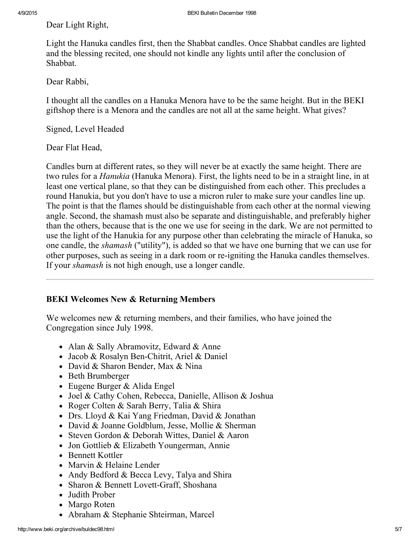Dear Light Right,

Light the Hanuka candles first, then the Shabbat candles. Once Shabbat candles are lighted and the blessing recited, one should not kindle any lights until after the conclusion of Shabbat.

Dear Rabbi,

I thought all the candles on a Hanuka Menora have to be the same height. But in the BEKI giftshop there is a Menora and the candles are not all at the same height. What gives?

Signed, Level Headed

Dear Flat Head,

Candles burn at different rates, so they will never be at exactly the same height. There are two rules for a Hanukia (Hanuka Menora). First, the lights need to be in a straight line, in at least one vertical plane, so that they can be distinguished from each other. This precludes a round Hanukia, but you don't have to use a micron ruler to make sure your candles line up. The point is that the flames should be distinguishable from each other at the normal viewing angle. Second, the shamash must also be separate and distinguishable, and preferably higher than the others, because that is the one we use for seeing in the dark. We are not permitted to use the light of the Hanukia for any purpose other than celebrating the miracle of Hanuka, so one candle, the shamash ("utility"), is added so that we have one burning that we can use for other purposes, such as seeing in a dark room or re-igniting the Hanuka candles themselves. If your *shamash* is not high enough, use a longer candle.

### <span id="page-4-0"></span>BEKI Welcomes New & Returning Members

We welcomes new  $\&$  returning members, and their families, who have joined the Congregation since July 1998.

- Alan & Sally Abramovitz, Edward & Anne
- Jacob & Rosalyn Ben-Chitrit, Ariel & Daniel
- David & Sharon Bender, Max & Nina
- Beth Brumberger
- Eugene Burger & Alida Engel
- Joel & Cathy Cohen, Rebecca, Danielle, Allison & Joshua
- Roger Colten & Sarah Berry, Talia & Shira
- Drs. Lloyd & Kai Yang Friedman, David & Jonathan
- David & Joanne Goldblum, Jesse, Mollie & Sherman
- Steven Gordon & Deborah Wittes, Daniel & Aaron
- Jon Gottlieb & Elizabeth Youngerman, Annie
- Bennett Kottler
- Marvin & Helaine Lender
- Andy Bedford & Becca Levy, Talya and Shira
- Sharon & Bennett Lovett-Graff, Shoshana
- Judith Prober
- Margo Roten
- Abraham & Stephanie Shteirman, Marcel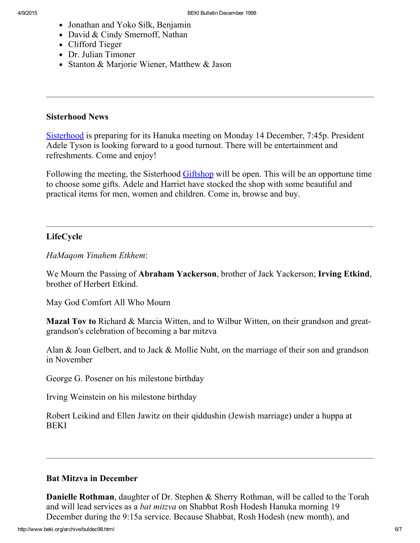- Jonathan and Yoko Silk, Benjamin
- David & Cindy Smernoff, Nathan
- Clifford Tieger
- Dr. Julian Timoner
- Stanton & Marjorie Wiener, Matthew & Jason

#### <span id="page-5-2"></span>Sisterhood News

[Sisterhood](http://www.beki.org/archive/sisterhood.html) is preparing for its Hanuka meeting on Monday 14 December, 7:45p. President Adele Tyson is looking forward to a good turnout. There will be entertainment and refreshments. Come and enjoy!

Following the meeting, the Sisterhood [Giftshop](http://www.beki.org/archive/sisterhood.html#giftshop) will be open. This will be an opportune time to choose some gifts. Adele and Harriet have stocked the shop with some beautiful and practical items for men, women and children. Come in, browse and buy.

### <span id="page-5-1"></span>LifeCycle

HaMaqom Yinahem Etkhem:

We Mourn the Passing of Abraham Yackerson, brother of Jack Yackerson; Irving Etkind, brother of Herbert Etkind.

May God Comfort All Who Mourn

Mazal Tov to Richard & Marcia Witten, and to Wilbur Witten, on their grandson and greatgrandson's celebration of becoming a bar mitzva

Alan & Joan Gelbert, and to Jack & Mollie Nuht, on the marriage of their son and grandson in November

George G. Posener on his milestone birthday

Irving Weinstein on his milestone birthday

Robert Leikind and Ellen Jawitz on their qiddushin (Jewish marriage) under a huppa at **BEKI** 

### <span id="page-5-0"></span>Bat Mitzva in December

Danielle Rothman, daughter of Dr. Stephen & Sherry Rothman, will be called to the Torah and will lead services as a *bat mitzva* on Shabbat Rosh Hodesh Hanuka morning 19 December during the 9:15a service. Because Shabbat, Rosh Hodesh (new month), and